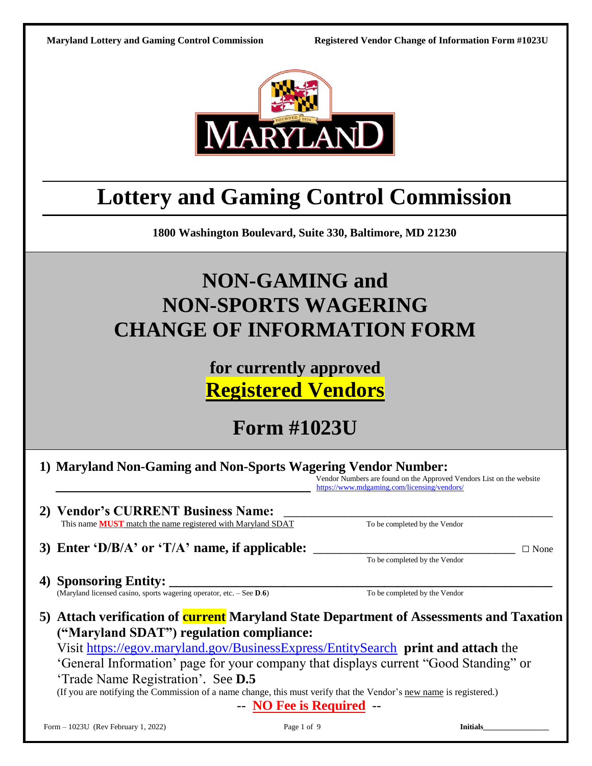

# **Lottery and Gaming Control Commission**

**1800 Washington Boulevard, Suite 330, Baltimore, MD 21230**

# **NON-GAMING and NON-SPORTS WAGERING CHANGE OF INFORMATION FORM**

# **for currently approved Registered Vendors**

**Form #1023U**

|  |  | 1) Maryland Non-Gaming and Non-Sports Wagering Vendor Number: |
|--|--|---------------------------------------------------------------|
|  |  |                                                               |

 Vendor Numbers are found on the Approved Vendors List on the website https://www.mdgaming.com/licensing/vendors/

**2) Vendor's CURRENT Business Name:** \_\_\_\_\_\_\_\_\_\_\_\_\_\_\_\_\_\_\_\_\_\_\_\_\_\_\_\_\_\_\_\_\_\_\_\_\_\_\_\_ This name **MUST** match the name registered with Maryland SDAT To be completed by the Vendor

**3) Enter 'D/B/A' or 'T/A' name, if applicable:** \_\_\_\_\_\_\_\_\_\_\_\_\_\_\_\_\_\_\_\_\_\_\_\_\_\_\_\_\_\_ □ None

To be completed by the Vendor

**4) Sponsoring Entity: \_\_\_\_\_\_\_\_\_\_\_\_\_\_\_\_\_\_\_\_\_\_\_\_\_\_\_\_\_\_\_\_\_\_\_\_\_\_\_\_\_\_\_\_\_\_\_\_\_\_\_\_\_\_\_\_\_**

(Maryland licensed casino, sports wagering operator, etc. – See **D**.**6**) To be completed by the Vendor

**5) Attach verification of current Maryland State Department of Assessments and Taxation ("Maryland SDAT") regulation compliance:**

Visit <https://egov.maryland.gov/BusinessExpress/EntitySearch>**print and attach** the 'General Information' page for your company that displays current "Good Standing" or 'Trade Name Registration'. See **D.5**

(If you are notifying the Commission of a name change, this must verify that the Vendor's new name is registered.)

-- **NO Fee is Required** --

Form – 1023U (Rev February 1, 2022) **Page 1 of 9 Initials**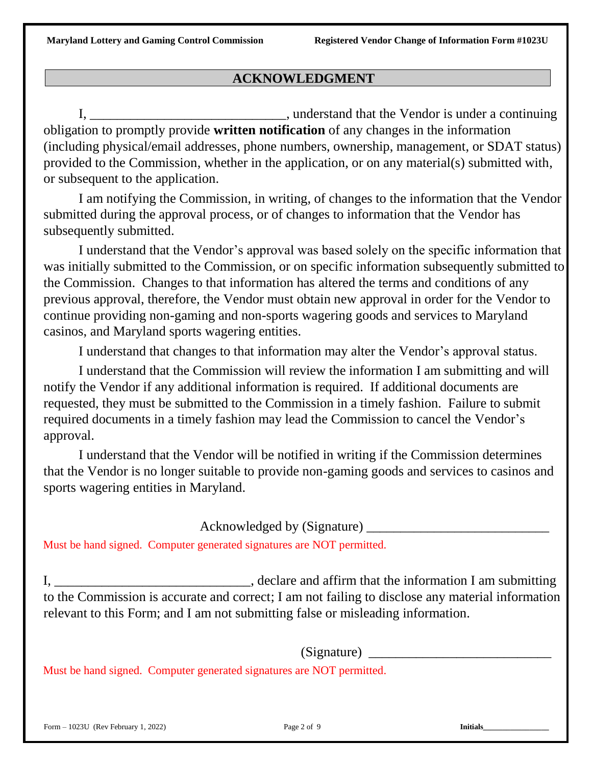# **ACKNOWLEDGMENT**

I, \_\_\_\_\_\_\_\_\_\_\_\_\_\_\_\_\_\_\_\_\_\_\_\_\_\_\_\_\_\_\_, understand that the Vendor is under a continuing obligation to promptly provide **written notification** of any changes in the information (including physical/email addresses, phone numbers, ownership, management, or SDAT status) provided to the Commission, whether in the application, or on any material(s) submitted with, or subsequent to the application.

I am notifying the Commission, in writing, of changes to the information that the Vendor submitted during the approval process, or of changes to information that the Vendor has subsequently submitted.

I understand that the Vendor's approval was based solely on the specific information that was initially submitted to the Commission, or on specific information subsequently submitted to the Commission. Changes to that information has altered the terms and conditions of any previous approval, therefore, the Vendor must obtain new approval in order for the Vendor to continue providing non-gaming and non-sports wagering goods and services to Maryland casinos, and Maryland sports wagering entities.

I understand that changes to that information may alter the Vendor's approval status.

I understand that the Commission will review the information I am submitting and will notify the Vendor if any additional information is required. If additional documents are requested, they must be submitted to the Commission in a timely fashion. Failure to submit required documents in a timely fashion may lead the Commission to cancel the Vendor's approval.

I understand that the Vendor will be notified in writing if the Commission determines that the Vendor is no longer suitable to provide non-gaming goods and services to casinos and sports wagering entities in Maryland.

Acknowledged by (Signature)

Must be hand signed. Computer generated signatures are NOT permitted.

I, Leclare and affirm that the information I am submitting to the Commission is accurate and correct; I am not failing to disclose any material information relevant to this Form; and I am not submitting false or misleading information.

 $(Signature)$ 

Must be hand signed. Computer generated signatures are NOT permitted.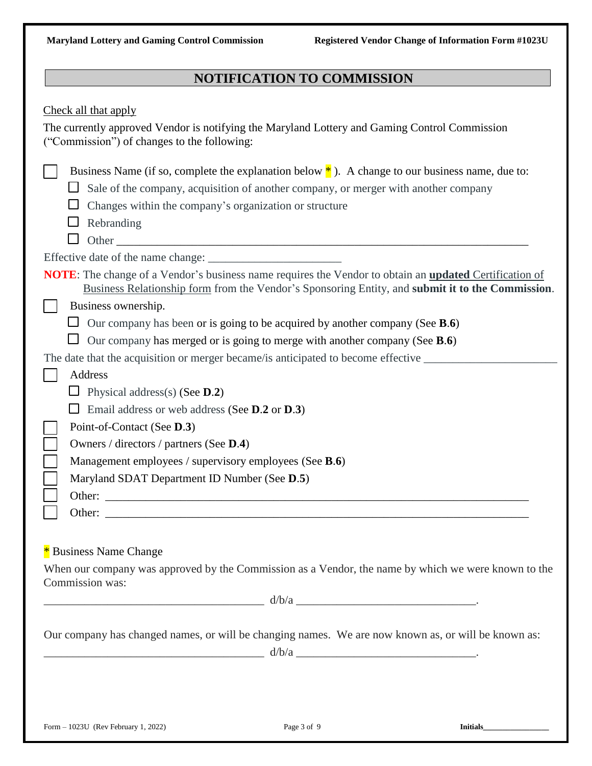# **NOTIFICATION TO COMMISSION**

| Check all that apply<br>The currently approved Vendor is notifying the Maryland Lottery and Gaming Control Commission<br>("Commission") of changes to the following:                                                                                              |  |
|-------------------------------------------------------------------------------------------------------------------------------------------------------------------------------------------------------------------------------------------------------------------|--|
| Business Name (if so, complete the explanation below $*$ ). A change to our business name, due to:<br>Sale of the company, acquisition of another company, or merger with another company<br>Changes within the company's organization or structure<br>Rebranding |  |
|                                                                                                                                                                                                                                                                   |  |
| <b>NOTE:</b> The change of a Vendor's business name requires the Vendor to obtain an <b>updated</b> Certification of<br>Business Relationship form from the Vendor's Sponsoring Entity, and submit it to the Commission.<br>Business ownership.                   |  |
| $\Box$ Our company has been or is going to be acquired by another company (See <b>B.6</b> )                                                                                                                                                                       |  |
| Our company has merged or is going to merge with another company (See $B.6$ )                                                                                                                                                                                     |  |
| The date that the acquisition or merger became/is anticipated to become effective                                                                                                                                                                                 |  |
| <b>Address</b>                                                                                                                                                                                                                                                    |  |
| Physical address(s) (See $D.2$ )                                                                                                                                                                                                                                  |  |
| Email address or web address (See D.2 or D.3)                                                                                                                                                                                                                     |  |
| Point-of-Contact (See D.3)                                                                                                                                                                                                                                        |  |
| Owners / directors / partners (See D.4)                                                                                                                                                                                                                           |  |
| Management employees / supervisory employees (See B.6)                                                                                                                                                                                                            |  |
| Maryland SDAT Department ID Number (See D.5)                                                                                                                                                                                                                      |  |
| Other:                                                                                                                                                                                                                                                            |  |
| Other:                                                                                                                                                                                                                                                            |  |
| * Business Name Change                                                                                                                                                                                                                                            |  |
| When our company was approved by the Commission as a Vendor, the name by which we were known to the<br>Commission was:                                                                                                                                            |  |
|                                                                                                                                                                                                                                                                   |  |
| Our company has changed names, or will be changing names. We are now known as, or will be known as:<br>$d/b/a$ $\qquad \qquad$                                                                                                                                    |  |
|                                                                                                                                                                                                                                                                   |  |
| Form - 1023U (Rev February 1, 2022)<br>Page 3 of 9<br><b>Initials</b>                                                                                                                                                                                             |  |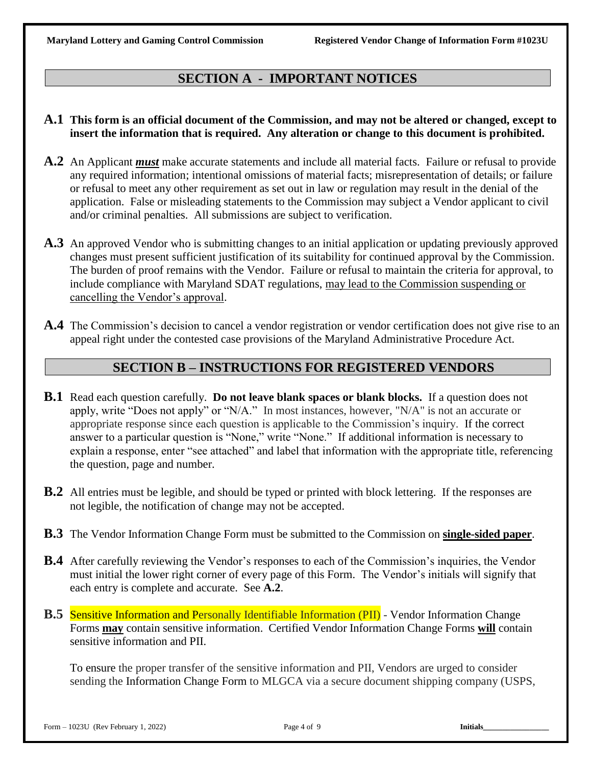# **SECTION A - IMPORTANT NOTICES**

### **A.1 This form is an official document of the Commission, and may not be altered or changed, except to insert the information that is required. Any alteration or change to this document is prohibited.**

- **A.2** An Applicant *must* make accurate statements and include all material facts. Failure or refusal to provide any required information; intentional omissions of material facts; misrepresentation of details; or failure or refusal to meet any other requirement as set out in law or regulation may result in the denial of the application. False or misleading statements to the Commission may subject a Vendor applicant to civil and/or criminal penalties. All submissions are subject to verification.
- **A.3** An approved Vendor who is submitting changes to an initial application or updating previously approved changes must present sufficient justification of its suitability for continued approval by the Commission. The burden of proof remains with the Vendor. Failure or refusal to maintain the criteria for approval, to include compliance with Maryland SDAT regulations, may lead to the Commission suspending or cancelling the Vendor's approval.
- **A.4** The Commission's decision to cancel a vendor registration or vendor certification does not give rise to an appeal right under the contested case provisions of the Maryland Administrative Procedure Act.

## **SECTION B – INSTRUCTIONS FOR REGISTERED VENDORS**

- **B.1** Read each question carefully. **Do not leave blank spaces or blank blocks.** If a question does not apply, write "Does not apply" or "N/A." In most instances, however, "N/A" is not an accurate or appropriate response since each question is applicable to the Commission's inquiry. If the correct answer to a particular question is "None," write "None." If additional information is necessary to explain a response, enter "see attached" and label that information with the appropriate title, referencing the question, page and number.
- **B.2** All entries must be legible, and should be typed or printed with block lettering. If the responses are not legible, the notification of change may not be accepted.
- **B.3** The Vendor Information Change Form must be submitted to the Commission on **single-sided paper**.
- **B.4** After carefully reviewing the Vendor's responses to each of the Commission's inquiries, the Vendor must initial the lower right corner of every page of this Form. The Vendor's initials will signify that each entry is complete and accurate. See **A.2**.
- **B.5** Sensitive Information and Personally Identifiable Information (PII) Vendor Information Change Forms **may** contain sensitive information. Certified Vendor Information Change Forms **will** contain sensitive information and PII.

To ensure the proper transfer of the sensitive information and PII, Vendors are urged to consider sending the Information Change Form to MLGCA via a secure document shipping company (USPS,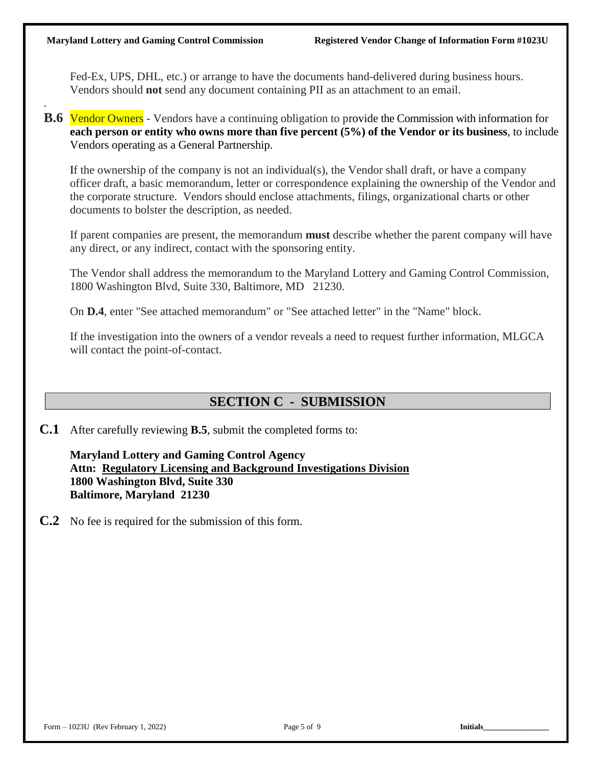.

Fed-Ex, UPS, DHL, etc.) or arrange to have the documents hand-delivered during business hours. Vendors should **not** send any document containing PII as an attachment to an email.

**B.6** Vendor Owners - Vendors have a continuing obligation to provide the Commission with information for **each person or entity who owns more than five percent (5%) of the Vendor or its business**, to include Vendors operating as a General Partnership.

If the ownership of the company is not an individual(s), the Vendor shall draft, or have a company officer draft, a basic memorandum, letter or correspondence explaining the ownership of the Vendor and the corporate structure. Vendors should enclose attachments, filings, organizational charts or other documents to bolster the description, as needed.

If parent companies are present, the memorandum **must** describe whether the parent company will have any direct, or any indirect, contact with the sponsoring entity.

The Vendor shall address the memorandum to the Maryland Lottery and Gaming Control Commission, 1800 Washington Blvd, Suite 330, Baltimore, MD 21230.

On **D.4**, enter "See attached memorandum" or "See attached letter" in the "Name" block.

If the investigation into the owners of a vendor reveals a need to request further information, MLGCA will contact the point-of-contact.

# **SECTION C - SUBMISSION**

**C.1** After carefully reviewing **B.5**, submit the completed forms to:

**Maryland Lottery and Gaming Control Agency Attn: Regulatory Licensing and Background Investigations Division 1800 Washington Blvd, Suite 330 Baltimore, Maryland 21230**

**C.2** No fee is required for the submission of this form.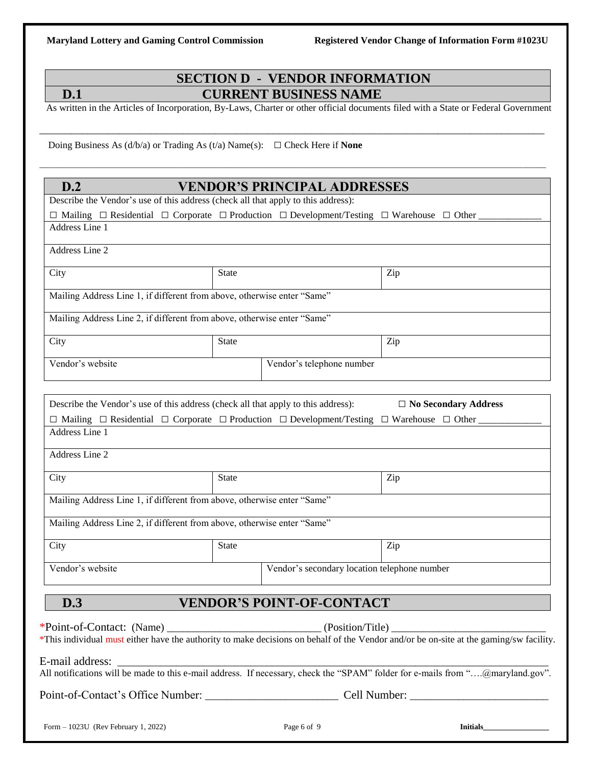# **SECTION D - VENDOR INFORMATION D.1 CURRENT BUSINESS NAME**

As written in the Articles of Incorporation, By-Laws, Charter or other official documents filed with a State or Federal Government

\_\_\_\_\_\_\_\_\_\_\_\_\_\_\_\_\_\_\_\_\_\_\_\_\_\_\_\_\_\_\_\_\_\_\_\_\_\_\_\_\_\_\_\_\_\_\_\_\_\_\_\_\_\_\_\_\_\_\_\_\_\_\_\_\_\_\_\_\_\_\_\_\_\_\_\_\_\_\_\_\_\_\_\_\_\_\_\_\_\_\_\_\_\_\_

\_\_\_\_\_\_\_\_\_\_\_\_\_\_\_\_\_\_\_\_\_\_\_\_\_\_\_\_\_\_\_\_\_\_\_\_\_\_\_\_\_\_\_\_\_\_\_\_\_\_\_\_\_\_\_\_\_\_\_\_\_\_\_\_\_\_\_\_\_\_\_\_\_\_\_\_\_\_\_\_\_\_\_\_\_\_\_\_\_\_\_\_\_\_\_\_\_\_\_\_\_\_\_\_\_\_\_\_\_\_\_\_\_\_\_\_\_\_\_\_\_\_\_\_\_\_\_\_\_\_\_

Doing Business As  $(d/b/a)$  or Trading As  $(t/a)$  Name $(s)$ :  $\Box$  Check Here if **None** 

# **D.2 VENDOR'S PRINCIPAL ADDRESSES**

| D.Z                                                                                                                           |              | VENDOR'S PRINCIPAL ADDRESSES     |                                                                                                                                |
|-------------------------------------------------------------------------------------------------------------------------------|--------------|----------------------------------|--------------------------------------------------------------------------------------------------------------------------------|
| Describe the Vendor's use of this address (check all that apply to this address):                                             |              |                                  |                                                                                                                                |
| $\Box$ Mailing $\Box$ Residential $\Box$ Corporate $\Box$ Production $\Box$ Development/Testing $\Box$ Warehouse $\Box$ Other |              |                                  |                                                                                                                                |
| Address Line 1                                                                                                                |              |                                  |                                                                                                                                |
| Address Line 2                                                                                                                |              |                                  |                                                                                                                                |
| City                                                                                                                          | <b>State</b> |                                  | Zip                                                                                                                            |
| Mailing Address Line 1, if different from above, otherwise enter "Same"                                                       |              |                                  |                                                                                                                                |
| Mailing Address Line 2, if different from above, otherwise enter "Same"                                                       |              |                                  |                                                                                                                                |
| City                                                                                                                          | <b>State</b> |                                  | Zip                                                                                                                            |
| Vendor's website                                                                                                              |              | Vendor's telephone number        |                                                                                                                                |
|                                                                                                                               |              |                                  |                                                                                                                                |
| Describe the Vendor's use of this address (check all that apply to this address):                                             |              |                                  | $\Box$ No Secondary Address                                                                                                    |
| $\Box$ Mailing $\Box$ Residential $\Box$ Corporate $\Box$ Production $\Box$ Development/Testing $\Box$ Warehouse $\Box$ Other |              |                                  |                                                                                                                                |
| Address Line 1                                                                                                                |              |                                  |                                                                                                                                |
| Address Line 2                                                                                                                |              |                                  |                                                                                                                                |
| City                                                                                                                          | <b>State</b> |                                  | Zip                                                                                                                            |
| Mailing Address Line 1, if different from above, otherwise enter "Same"                                                       |              |                                  |                                                                                                                                |
| Mailing Address Line 2, if different from above, otherwise enter "Same"                                                       |              |                                  |                                                                                                                                |
| City                                                                                                                          | <b>State</b> |                                  | Zip                                                                                                                            |
| Vendor's website                                                                                                              |              |                                  | Vendor's secondary location telephone number                                                                                   |
| D.3                                                                                                                           |              | <b>VENDOR'S POINT-OF-CONTACT</b> |                                                                                                                                |
|                                                                                                                               |              |                                  |                                                                                                                                |
|                                                                                                                               |              |                                  |                                                                                                                                |
| E-mail address:                                                                                                               |              |                                  |                                                                                                                                |
|                                                                                                                               |              |                                  | All notifications will be made to this e-mail address. If necessary, check the "SPAM" folder for e-mails from "@maryland.gov". |
|                                                                                                                               |              |                                  |                                                                                                                                |
| Form $-1023U$ (Rev February 1, 2022)                                                                                          |              | Page 6 of 9                      | <b>Initials</b>                                                                                                                |
|                                                                                                                               |              |                                  |                                                                                                                                |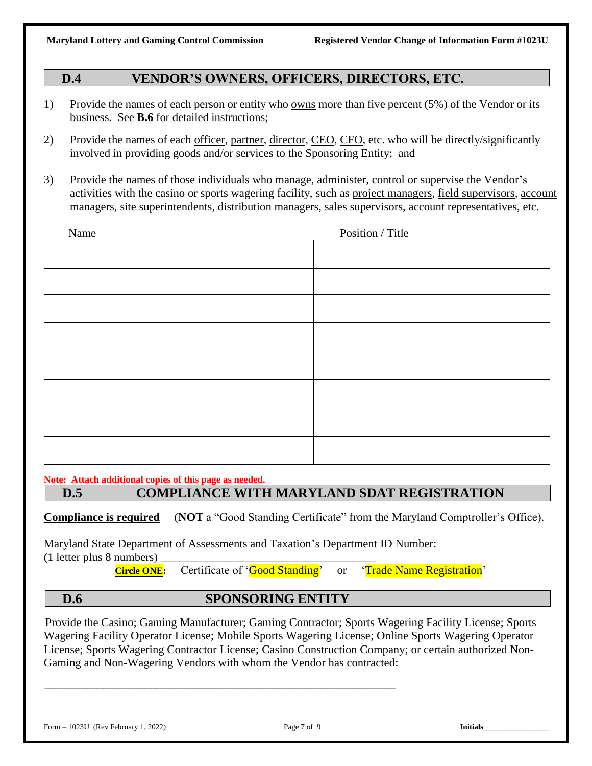# **D.4 VENDOR'S OWNERS, OFFICERS, DIRECTORS, ETC.**

- 1) Provide the names of each person or entity who owns more than five percent (5%) of the Vendor or its business. See **B.6** for detailed instructions;
- 2) Provide the names of each officer, partner, director, CEO, CFO, etc. who will be directly/significantly involved in providing goods and/or services to the Sponsoring Entity; and
- 3) Provide the names of those individuals who manage, administer, control or supervise the Vendor's activities with the casino or sports wagering facility, such as project managers, field supervisors, account managers, site superintendents, distribution managers, sales supervisors, account representatives, etc.

| Name | Position / Title |
|------|------------------|
|      |                  |
|      |                  |
|      |                  |
|      |                  |
|      |                  |
|      |                  |
|      |                  |
|      |                  |
|      |                  |
|      |                  |
|      |                  |
|      |                  |
|      |                  |

**Note: Attach additional copies of this page as needed.**

# **D.5 COMPLIANCE WITH MARYLAND SDAT REGISTRATION**

**Compliance is required** (**NOT** a "Good Standing Certificate" from the Maryland Comptroller's Office).

Maryland State Department of Assessments and Taxation's Department ID Number:  $(1$  letter plus 8 numbers)

\_\_\_\_\_\_\_\_\_\_\_\_\_\_\_\_\_\_\_\_\_\_\_\_\_\_\_\_\_\_\_\_\_\_\_\_\_\_\_\_\_\_\_\_\_\_\_\_\_\_\_\_\_\_\_\_\_\_\_\_\_\_\_\_\_\_

**Circle ONE:** Certificate of '**Good Standing**' or 'Trade Name Registration'

### **D.6 SPONSORING ENTITY**

Provide the Casino; Gaming Manufacturer; Gaming Contractor; Sports Wagering Facility License; Sports Wagering Facility Operator License; Mobile Sports Wagering License; Online Sports Wagering Operator License; Sports Wagering Contractor License; Casino Construction Company; or certain authorized Non-Gaming and Non-Wagering Vendors with whom the Vendor has contracted: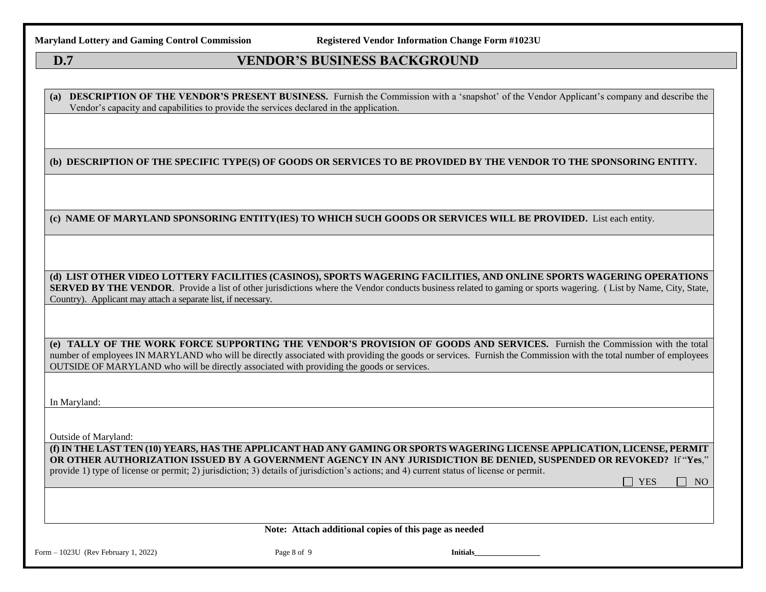**Maryland Lottery and Gaming Control Commission Registered Vendor Information Change Form #1023U**

## **D.7 VENDOR'S BUSINESS BACKGROUND**

**(a) DESCRIPTION OF THE VENDOR'S PRESENT BUSINESS.** Furnish the Commission with a 'snapshot' of the Vendor Applicant's company and describe the Vendor's capacity and capabilities to provide the services declared in the application.

#### **(b) DESCRIPTION OF THE SPECIFIC TYPE(S) OF GOODS OR SERVICES TO BE PROVIDED BY THE VENDOR TO THE SPONSORING ENTITY.**

**(c) NAME OF MARYLAND SPONSORING ENTITY(IES) TO WHICH SUCH GOODS OR SERVICES WILL BE PROVIDED.** List each entity.

**(d) LIST OTHER VIDEO LOTTERY FACILITIES (CASINOS), SPORTS WAGERING FACILITIES, AND ONLINE SPORTS WAGERING OPERATIONS SERVED BY THE VENDOR**. Provide a list of other jurisdictions where the Vendor conducts business related to gaming or sports wagering. (List by Name, City, State, Country). Applicant may attach a separate list, if necessary.

**(e) TALLY OF THE WORK FORCE SUPPORTING THE VENDOR'S PROVISION OF GOODS AND SERVICES.** Furnish the Commission with the total number of employees IN MARYLAND who will be directly associated with providing the goods or services. Furnish the Commission with the total number of employees OUTSIDE OF MARYLAND who will be directly associated with providing the goods or services.

In Maryland:

Outside of Maryland:

**(f) IN THE LAST TEN (10) YEARS, HAS THE APPLICANT HAD ANY GAMING OR SPORTS WAGERING LICENSE APPLICATION, LICENSE, PERMIT OR OTHER AUTHORIZATION ISSUED BY A GOVERNMENT AGENCY IN ANY JURISDICTION BE DENIED, SUSPENDED OR REVOKED?** If "**Yes**," provide 1) type of license or permit; 2) jurisdiction; 3) details of jurisdiction's actions; and 4) current status of license or permit.

**Note: Attach additional copies of this page as needed**

 $YES \square NO$